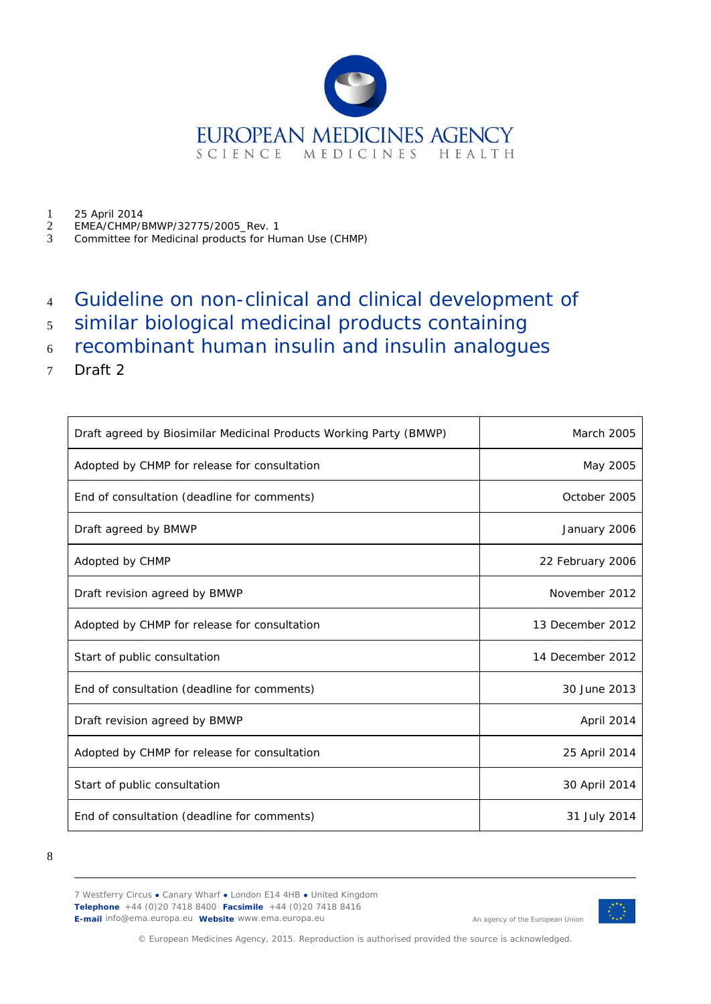

- 1 25 April 2014<br>2 EMEA/CHMP/E 2 EMEA/CHMP/BMWP/32775/2005\_Rev. 1<br>3 Committee for Medicinal products for Hu
- 3 Committee for Medicinal products for Human Use (CHMP)
- <sup>4</sup> Guideline on non-clinical and clinical development of
- <sup>5</sup> similar biological medicinal products containing
- <sup>6</sup> recombinant human insulin and insulin analogues
- 7 Draft 2

| Draft agreed by Biosimilar Medicinal Products Working Party (BMWP) | <b>March 2005</b> |
|--------------------------------------------------------------------|-------------------|
| Adopted by CHMP for release for consultation                       | May 2005          |
| End of consultation (deadline for comments)                        | October 2005      |
| Draft agreed by BMWP                                               | January 2006      |
| Adopted by CHMP                                                    | 22 February 2006  |
| Draft revision agreed by BMWP                                      | November 2012     |
| Adopted by CHMP for release for consultation                       | 13 December 2012  |
| Start of public consultation                                       | 14 December 2012  |
| End of consultation (deadline for comments)                        | 30 June 2013      |
| Draft revision agreed by BMWP                                      | April 2014        |
| Adopted by CHMP for release for consultation                       | 25 April 2014     |
| Start of public consultation                                       | 30 April 2014     |
| End of consultation (deadline for comments)                        | 31 July 2014      |

8

7 Westferry Circus **●** Canary Wharf **●** London E14 4HB **●** United Kingdom **Telephone** +44 (0)20 7418 8400 **Facsimile** +44 (0)20 7418 8416 **E-mail** info@ema.europa.eu **Website** www.ema.europa.eu



An agency of the European Union

© European Medicines Agency, 2015. Reproduction is authorised provided the source is acknowledged.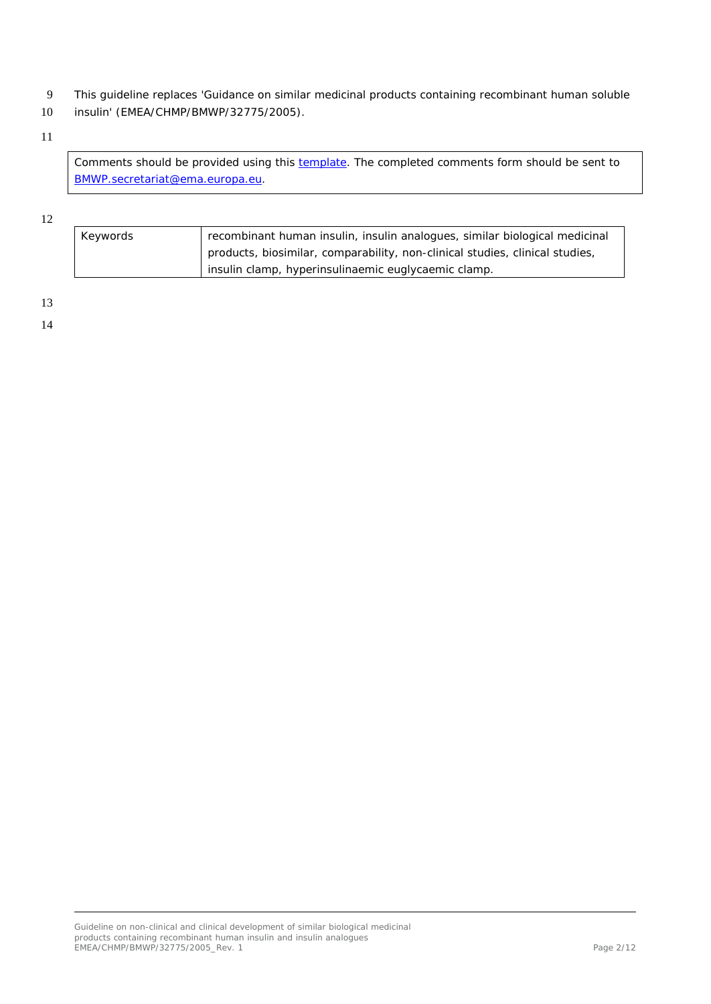- 9 This guideline replaces 'Guidance on similar medicinal products containing recombinant human soluble
- 10 insulin' (EMEA/CHMP/BMWP/32775/2005).

#### 11

Comments should be provided using this **template**. The completed comments form should be sent to [BMWP.secretariat@ema.europa.eu.](mailto:BMWP.secretariat@ema.europa.eu)

#### 12

| Keywords | recombinant human insulin, insulin analogues, similar biological medicinal   |
|----------|------------------------------------------------------------------------------|
|          | products, biosimilar, comparability, non-clinical studies, clinical studies, |
|          | insulin clamp, hyperinsulinaemic euglycaemic clamp.                          |

13

14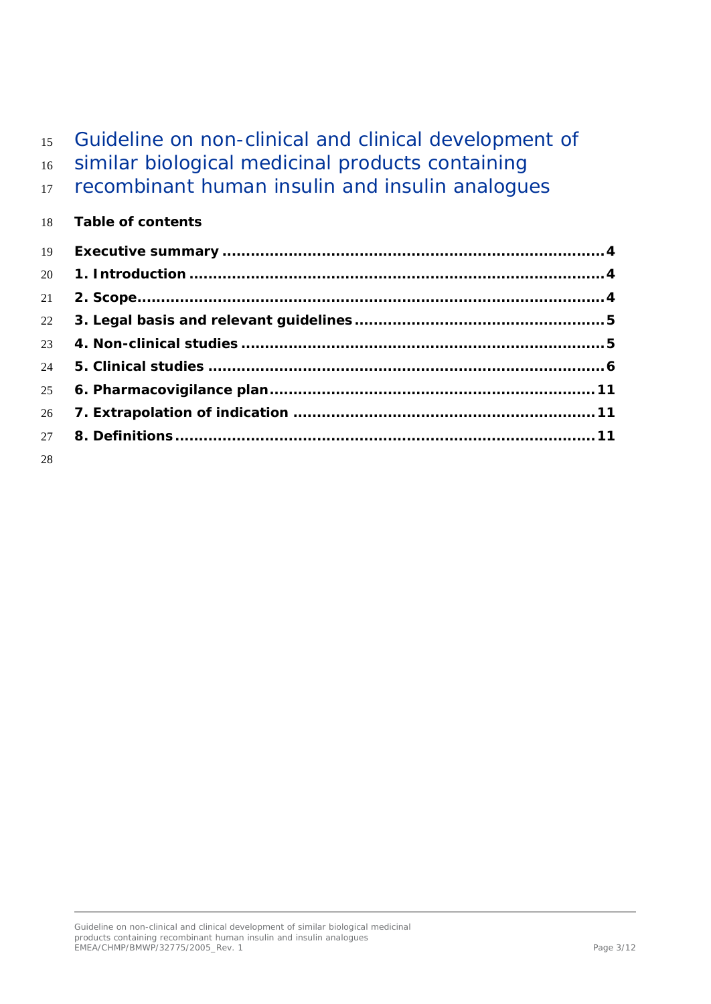# Guideline on non-clinical and clinical development of similar biological medicinal products containing 17 recombinant human insulin and insulin analogues **Table of contents Executive summary [.................................................................................4](#page-3-0) 1. Introduction [........................................................................................4](#page-3-1) [2. Scope...................................................................................................4](#page-3-2) [3. Legal basis and relevant guidelines.....................................................5](#page-4-0) 4. Non-clinical studies [.............................................................................5](#page-4-1) 5. Clinical studies [....................................................................................6](#page-5-0) [6. Pharmacovigilance plan.....................................................................11](#page-10-0) 7. Extrapolation of indication [................................................................11](#page-10-1) [8. Definitions.........................................................................................11](#page-10-2)**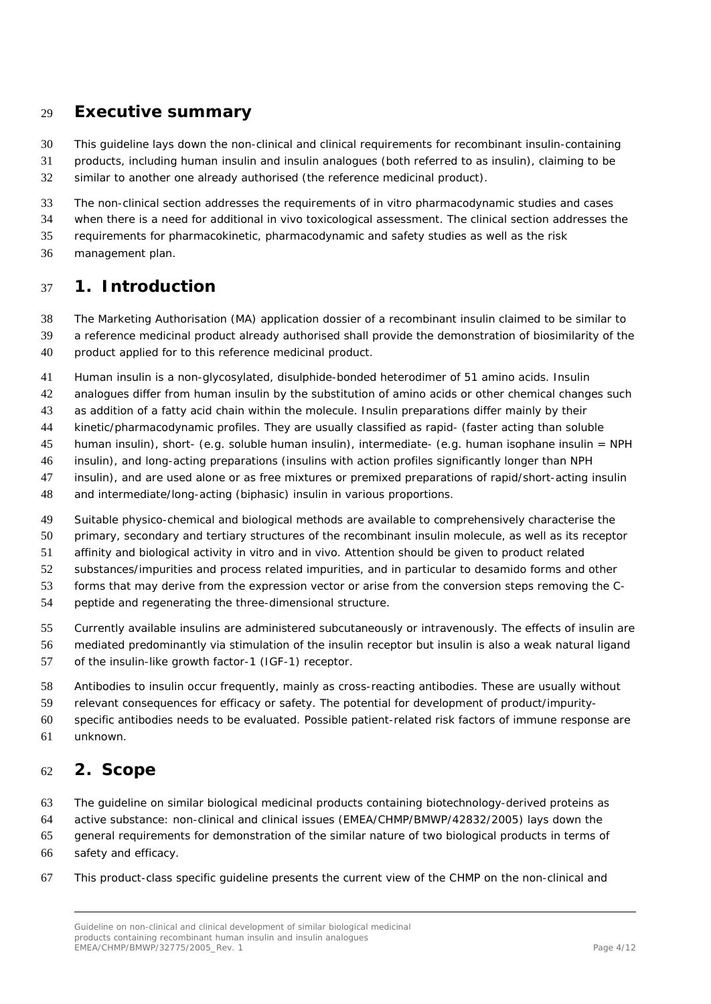### <span id="page-3-0"></span>**Executive summary**

This guideline lays down the non-clinical and clinical requirements for recombinant insulin-containing

 products, including human insulin and insulin analogues (both referred to as insulin), claiming to be similar to another one already authorised (the reference medicinal product).

The non-clinical section addresses the requirements of *in vitro* pharmacodynamic studies and cases

when there is a need for additional *in vivo* toxicological assessment. The clinical section addresses the

requirements for pharmacokinetic, pharmacodynamic and safety studies as well as the risk

management plan.

### <span id="page-3-1"></span>**1. Introduction**

The Marketing Authorisation (MA) application dossier of a recombinant insulin claimed to be similar to

a reference medicinal product already authorised shall provide the demonstration of biosimilarity of the

product applied for to this reference medicinal product.

Human insulin is a non-glycosylated, disulphide-bonded heterodimer of 51 amino acids. Insulin

42 analogues differ from human insulin by the substitution of amino acids or other chemical changes such

as addition of a fatty acid chain within the molecule. Insulin preparations differ mainly by their

kinetic/pharmacodynamic profiles. They are usually classified as rapid- (faster acting than soluble

human insulin), short- (e.g. soluble human insulin), intermediate- (e.g. human isophane insulin = NPH

insulin), and long-acting preparations (insulins with action profiles significantly longer than NPH

insulin), and are used alone or as free mixtures or premixed preparations of rapid/short-acting insulin

and intermediate/long-acting (biphasic) insulin in various proportions.

Suitable physico-chemical and biological methods are available to comprehensively characterise the

primary, secondary and tertiary structures of the recombinant insulin molecule, as well as its receptor

affinity and biological activity *in vitro* and *in vivo*. Attention should be given to product related

substances/impurities and process related impurities, and in particular to desamido forms and other

forms that may derive from the expression vector or arise from the conversion steps removing the C-

peptide and regenerating the three-dimensional structure.

Currently available insulins are administered subcutaneously or intravenously. The effects of insulin are

mediated predominantly via stimulation of the insulin receptor but insulin is also a weak natural ligand

- of the insulin-like growth factor-1 (IGF-1) receptor.
- Antibodies to insulin occur frequently, mainly as cross-reacting antibodies. These are usually without

relevant consequences for efficacy or safety. The potential for development of product/impurity-

 specific antibodies needs to be evaluated. Possible patient-related risk factors of immune response are unknown.

### <span id="page-3-2"></span>**2. Scope**

The guideline on similar biological medicinal products containing biotechnology-derived proteins as

active substance: non-clinical and clinical issues (EMEA/CHMP/BMWP/42832/2005) lays down the

general requirements for demonstration of the similar nature of two biological products in terms of

safety and efficacy.

This product-class specific guideline presents the current view of the CHMP on the non-clinical and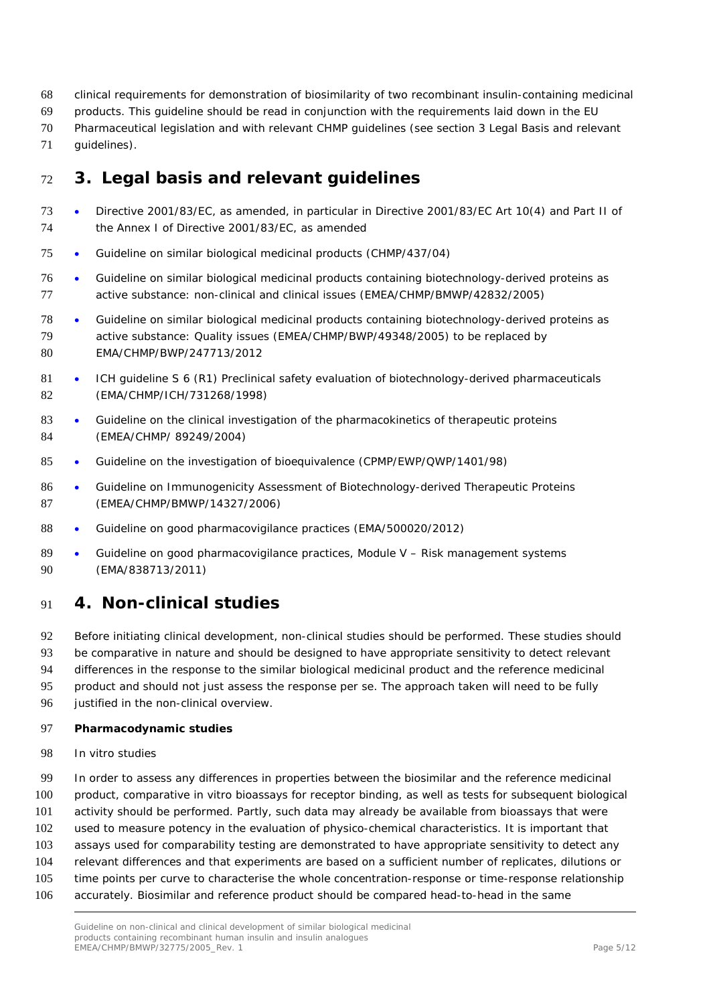- clinical requirements for demonstration of biosimilarity of two recombinant insulin-containing medicinal
- products. This guideline should be read in conjunction with the requirements laid down in the EU
- Pharmaceutical legislation and with relevant CHMP guidelines (see section 3 Legal Basis and relevant
- guidelines).

# <span id="page-4-0"></span>**3. Legal basis and relevant guidelines**

- Directive 2001/83/EC, as amended, in particular in Directive 2001/83/EC Art 10(4) and Part II of the Annex I of Directive 2001/83/EC, as amended
- Guideline on similar biological medicinal products (CHMP/437/04)
- Guideline on similar biological medicinal products containing biotechnology-derived proteins as active substance: non-clinical and clinical issues (EMEA/CHMP/BMWP/42832/2005)
- Guideline on similar biological medicinal products containing biotechnology-derived proteins as active substance: Quality issues (EMEA/CHMP/BWP/49348/2005) to be replaced by EMA/CHMP/BWP/247713/2012
- 81 ICH quideline S 6 (R1) Preclinical safety evaluation of biotechnology-derived pharmaceuticals (EMA/CHMP/ICH/731268/1998)
- 83 Guideline on the clinical investigation of the pharmacokinetics of therapeutic proteins (EMEA/CHMP/ 89249/2004)
- Guideline on the investigation of bioequivalence (CPMP/EWP/QWP/1401/98)
- Guideline on Immunogenicity Assessment of Biotechnology-derived Therapeutic Proteins (EMEA/CHMP/BMWP/14327/2006)
- Guideline on good pharmacovigilance practices (EMA/500020/2012)
- 89 Guideline on good pharmacovigilance practices, Module V Risk management systems (EMA/838713/2011)

## <span id="page-4-1"></span>**4. Non-clinical studies**

Before initiating clinical development, non-clinical studies should be performed. These studies should

- be comparative in nature and should be designed to have appropriate sensitivity to detect relevant
- differences in the response to the similar biological medicinal product and the reference medicinal
- product and should not just assess the response *per se*. The approach taken will need to be fully
- justified in the non-clinical overview.

#### **Pharmacodynamic studies**

- *In vitro* studies
- In order to assess any differences in properties between the biosimilar and the reference medicinal product, comparative *in vitro* bioassays for receptor binding, as well as tests for subsequent biological activity should be performed. Partly, such data may already be available from bioassays that were used to measure potency in the evaluation of physico-chemical characteristics. It is important that assays used for comparability testing are demonstrated to have appropriate sensitivity to detect any relevant differences and that experiments are based on a sufficient number of replicates, dilutions or time points per curve to characterise the whole concentration-response or time-response relationship
- accurately. Biosimilar and reference product should be compared head-to-head in the same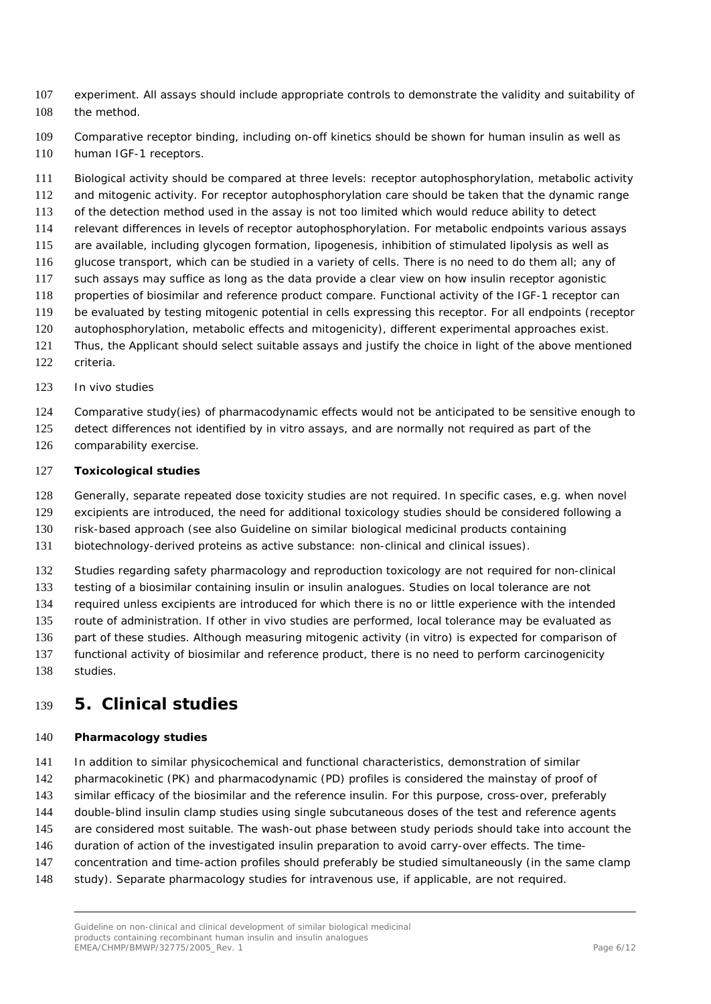- experiment. All assays should include appropriate controls to demonstrate the validity and suitability of the method.
- Comparative receptor binding, including on-off kinetics should be shown for human insulin as well as 110 human IGF-1 receptors.
- Biological activity should be compared at three levels: receptor autophosphorylation, metabolic activity
- and mitogenic activity. For receptor autophosphorylation care should be taken that the dynamic range
- of the detection method used in the assay is not too limited which would reduce ability to detect
- relevant differences in levels of receptor autophosphorylation. For metabolic endpoints various assays
- are available, including glycogen formation, lipogenesis, inhibition of stimulated lipolysis as well as
- glucose transport, which can be studied in a variety of cells. There is no need to do them all; any of such assays may suffice as long as the data provide a clear view on how insulin receptor agonistic
- properties of biosimilar and reference product compare. Functional activity of the IGF-1 receptor can
- be evaluated by testing mitogenic potential in cells expressing this receptor. For all endpoints (receptor
- autophosphorylation, metabolic effects and mitogenicity), different experimental approaches exist.
- Thus, the Applicant should select suitable assays and justify the choice in light of the above mentioned
- criteria.
- *In vivo* studies
- Comparative study(ies) of pharmacodynamic effects would not be anticipated to be sensitive enough to
- detect differences not identified by *in vitro* assays, and are normally not required as part of the
- comparability exercise.

### **Toxicological studies**

- Generally, separate repeated dose toxicity studies are not required. In specific cases, e.g. when novel
- excipients are introduced, the need for additional toxicology studies should be considered following a
- risk-based approach (see also Guideline on similar biological medicinal products containing
- biotechnology-derived proteins as active substance: non-clinical and clinical issues).
- Studies regarding safety pharmacology and reproduction toxicology are not required for non-clinical
- testing of a biosimilar containing insulin or insulin analogues. Studies on local tolerance are not
- required unless excipients are introduced for which there is no or little experience with the intended
- route of administration. If other *in vivo* studies are performed, local tolerance may be evaluated as
- part of these studies. Although measuring mitogenic activity (*in vitro*) is expected for comparison of
- functional activity of biosimilar and reference product, there is no need to perform carcinogenicity
- studies.

## <span id="page-5-0"></span>**5. Clinical studies**

#### **Pharmacology studies**

- 141 In addition to similar physicochemical and functional characteristics, demonstration of similar
- pharmacokinetic (PK) and pharmacodynamic (PD) profiles is considered the mainstay of proof of
- similar efficacy of the biosimilar and the reference insulin. For this purpose, cross-over, preferably
- double-blind insulin clamp studies using single subcutaneous doses of the test and reference agents
- 145 are considered most suitable. The wash-out phase between study periods should take into account the
- duration of action of the investigated insulin preparation to avoid carry-over effects. The time-
- concentration and time-action profiles should preferably be studied simultaneously (in the same clamp
- study). Separate pharmacology studies for intravenous use, if applicable, are not required.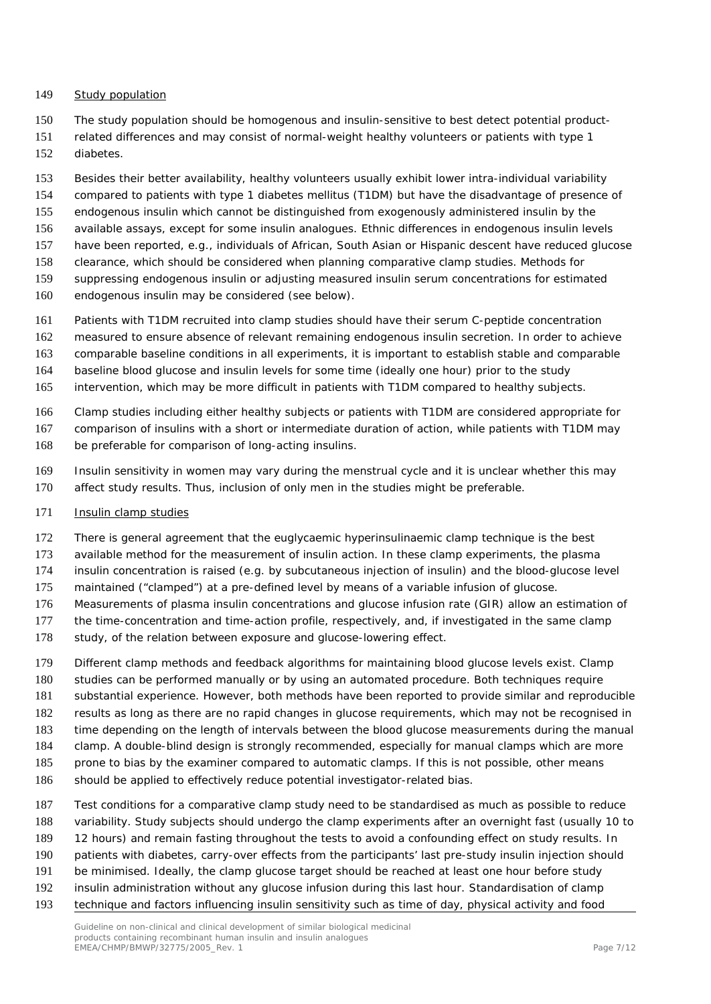#### *Study population*

- The study population should be homogenous and insulin-sensitive to best detect potential product-
- related differences and may consist of normal-weight healthy volunteers or patients with type 1 diabetes.
- Besides their better availability, healthy volunteers usually exhibit lower intra-individual variability
- compared to patients with type 1 diabetes mellitus (T1DM) but have the disadvantage of presence of
- endogenous insulin which cannot be distinguished from exogenously administered insulin by the
- available assays, except for some insulin analogues. Ethnic differences in endogenous insulin levels
- have been reported, e.g., individuals of African, South Asian or Hispanic descent have reduced glucose
- clearance, which should be considered when planning comparative clamp studies. Methods for
- suppressing endogenous insulin or adjusting measured insulin serum concentrations for estimated
- endogenous insulin may be considered (see below).
- Patients with T1DM recruited into clamp studies should have their serum C-peptide concentration
- measured to ensure absence of relevant remaining endogenous insulin secretion. In order to achieve
- comparable baseline conditions in all experiments, it is important to establish stable and comparable
- baseline blood glucose and insulin levels for some time (ideally one hour) prior to the study
- intervention, which may be more difficult in patients with T1DM compared to healthy subjects.
- Clamp studies including either healthy subjects or patients with T1DM are considered appropriate for
- comparison of insulins with a short or intermediate duration of action, while patients with T1DM may
- be preferable for comparison of long-acting insulins.
- Insulin sensitivity in women may vary during the menstrual cycle and it is unclear whether this may
- affect study results. Thus, inclusion of only men in the studies might be preferable.
- *Insulin clamp studies*
- There is general agreement that the euglycaemic hyperinsulinaemic clamp technique is the best
- available method for the measurement of insulin action. In these clamp experiments, the plasma
- insulin concentration is raised (e.g. by subcutaneous injection of insulin) and the blood-glucose level
- maintained ("clamped") at a pre-defined level by means of a variable infusion of glucose.
- Measurements of plasma insulin concentrations and glucose infusion rate (GIR) allow an estimation of
- the time-concentration and time-action profile, respectively, and, if investigated in the same clamp
- 178 study, of the relation between exposure and glucose-lowering effect.
- Different clamp methods and feedback algorithms for maintaining blood glucose levels exist. Clamp studies can be performed manually or by using an automated procedure. Both techniques require
- substantial experience. However, both methods have been reported to provide similar and reproducible
- results as long as there are no rapid changes in glucose requirements, which may not be recognised in
- time depending on the length of intervals between the blood glucose measurements during the manual
- clamp. A double-blind design is strongly recommended, especially for manual clamps which are more
- 185 prone to bias by the examiner compared to automatic clamps. If this is not possible, other means
- should be applied to effectively reduce potential investigator-related bias.
- Test conditions for a comparative clamp study need to be standardised as much as possible to reduce
- variability. Study subjects should undergo the clamp experiments after an overnight fast (usually 10 to
- 189 12 hours) and remain fasting throughout the tests to avoid a confounding effect on study results. In
- patients with diabetes, carry-over effects from the participants' last pre-study insulin injection should
- be minimised. Ideally, the clamp glucose target should be reached at least one hour before study
- insulin administration without any glucose infusion during this last hour. Standardisation of clamp
- technique and factors influencing insulin sensitivity such as time of day, physical activity and food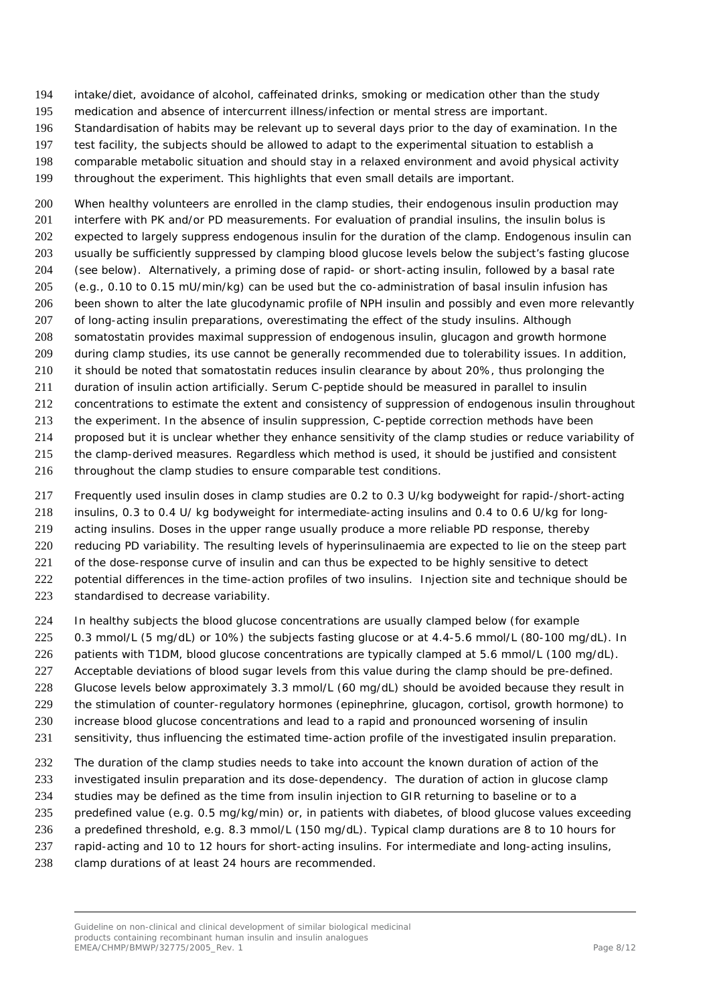- intake/diet, avoidance of alcohol, caffeinated drinks, smoking or medication other than the study
- medication and absence of intercurrent illness/infection or mental stress are important.
- Standardisation of habits may be relevant up to several days prior to the day of examination. In the
- test facility, the subjects should be allowed to adapt to the experimental situation to establish a
- comparable metabolic situation and should stay in a relaxed environment and avoid physical activity
- throughout the experiment. This highlights that even small details are important.

 When healthy volunteers are enrolled in the clamp studies, their endogenous insulin production may interfere with PK and/or PD measurements. For evaluation of prandial insulins, the insulin bolus is expected to largely suppress endogenous insulin for the duration of the clamp. Endogenous insulin can usually be sufficiently suppressed by clamping blood glucose levels below the subject's fasting glucose (see below). Alternatively, a priming dose of rapid- or short-acting insulin, followed by a basal rate (e.g., 0.10 to 0.15 mU/min/kg) can be used but the co-administration of basal insulin infusion has been shown to alter the late glucodynamic profile of NPH insulin and possibly and even more relevantly of long-acting insulin preparations, overestimating the effect of the study insulins. Although somatostatin provides maximal suppression of endogenous insulin, glucagon and growth hormone 209 during clamp studies, its use cannot be generally recommended due to tolerability issues. In addition, it should be noted that somatostatin reduces insulin clearance by about 20%, thus prolonging the duration of insulin action artificially. Serum C-peptide should be measured in parallel to insulin concentrations to estimate the extent and consistency of suppression of endogenous insulin throughout the experiment. In the absence of insulin suppression, C-peptide correction methods have been

- proposed but it is unclear whether they enhance sensitivity of the clamp studies or reduce variability of
- the clamp-derived measures. Regardless which method is used, it should be justified and consistent
- throughout the clamp studies to ensure comparable test conditions.
- Frequently used insulin doses in clamp studies are 0.2 to 0.3 U/kg bodyweight for rapid-/short-acting insulins, 0.3 to 0.4 U/ kg bodyweight for intermediate-acting insulins and 0.4 to 0.6 U/kg for long-
- acting insulins. Doses in the upper range usually produce a more reliable PD response, thereby
- reducing PD variability. The resulting levels of hyperinsulinaemia are expected to lie on the steep part
- 221 of the dose-response curve of insulin and can thus be expected to be highly sensitive to detect
- potential differences in the time-action profiles of two insulins. Injection site and technique should be
- standardised to decrease variability.
- In healthy subjects the blood glucose concentrations are usually clamped below (for example
- 0.3 mmol/L (5 mg/dL) or 10%) the subjects fasting glucose or at 4.4-5.6 mmol/L (80-100 mg/dL). In
- 226 patients with T1DM, blood glucose concentrations are typically clamped at 5.6 mmol/L (100 mg/dL).
- 227 Acceptable deviations of blood sugar levels from this value during the clamp should be pre-defined.
- Glucose levels below approximately 3.3 mmol/L (60 mg/dL) should be avoided because they result in
- the stimulation of counter-regulatory hormones (epinephrine, glucagon, cortisol, growth hormone) to
- increase blood glucose concentrations and lead to a rapid and pronounced worsening of insulin
- sensitivity, thus influencing the estimated time-action profile of the investigated insulin preparation.
- The duration of the clamp studies needs to take into account the known duration of action of the
- investigated insulin preparation and its dose-dependency. The duration of action in glucose clamp
- studies may be defined as the time from insulin injection to GIR returning to baseline or to a
- predefined value (e.g. 0.5 mg/kg/min) or, in patients with diabetes, of blood glucose values exceeding
- a predefined threshold, e.g. 8.3 mmol/L (150 mg/dL). Typical clamp durations are 8 to 10 hours for
- rapid-acting and 10 to 12 hours for short-acting insulins. For intermediate and long-acting insulins,
- 238 clamp durations of at least 24 hours are recommended.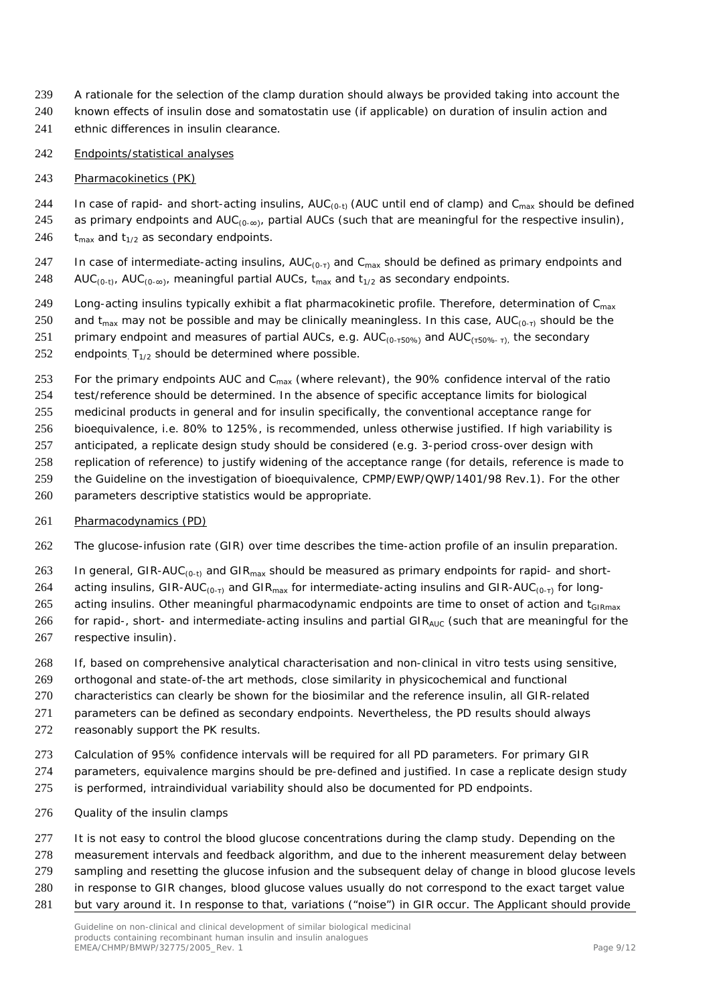- A rationale for the selection of the clamp duration should always be provided taking into account the
- known effects of insulin dose and somatostatin use (if applicable) on duration of insulin action and
- ethnic differences in insulin clearance.
- *Endpoints/statistical analyses*
- 243 Pharmacokinetics (PK)
- 244 In case of rapid- and short-acting insulins,  $AUC_{(0-t)}$  (AUC until end of clamp) and C<sub>max</sub> should be defined
- 245 as primary endpoints and  $AUC_{(0-\infty)}$ , partial AUCs (such that are meaningful for the respective insulin), 246  $t_{max}$  and  $t_{1/2}$  as secondary endpoints.
- 247 In case of intermediate-acting insulins,  $AUC_{(0-\tau)}$  and  $C_{max}$  should be defined as primary endpoints and 248 AUC<sub>(0-t)</sub>, AUC<sub>(0-∞)</sub>, meaningful partial AUCs, t<sub>max</sub> and t<sub>1/2</sub> as secondary endpoints.
- 249 Long-acting insulins typically exhibit a flat pharmacokinetic profile. Therefore, determination of C<sub>max</sub>
- 250 and t<sub>max</sub> may not be possible and may be clinically meaningless. In this case,  $AUC_{(0-1)}$  should be the
- 251 primary endpoint and measures of partial AUCs, e.g.  $AUC_{(0-150\%)}$  and  $AUC_{(150\%)}$ , the secondary
- 252 endpoints  $T_{1/2}$  should be determined where possible.
- 253 For the primary endpoints AUC and  $C_{\text{max}}$  (where relevant), the 90% confidence interval of the ratio test/reference should be determined. In the absence of specific acceptance limits for biological medicinal products in general and for insulin specifically, the conventional acceptance range for bioequivalence, i.e. 80% to 125%, is recommended, unless otherwise justified. If high variability is anticipated, a replicate design study should be considered (e.g. 3-period cross-over design with
- replication of reference) to justify widening of the acceptance range (for details, reference is made to the Guideline on the investigation of bioequivalence, CPMP/EWP/QWP/1401/98 Rev.1). For the other
- parameters descriptive statistics would be appropriate.
- 
- Pharmacodynamics (PD)
- The glucose-infusion rate (GIR) over time describes the time-action profile of an insulin preparation.
- 263 In general, GIR-AUC<sub>(0-t)</sub> and GIR<sub>max</sub> should be measured as primary endpoints for rapid- and short-
- 264 acting insulins, GIR-AUC<sub>(0-τ)</sub> and GIR<sub>max</sub> for intermediate-acting insulins and GIR-AUC<sub>(0-τ)</sub> for long-
- 265 acting insulins. Other meaningful pharmacodynamic endpoints are time to onset of action and t<sub>GIRmax</sub>
- 266 for rapid-, short- and intermediate-acting insulins and partial GIR<sub>AUC</sub> (such that are meaningful for the respective insulin).
- If, based on comprehensive analytical characterisation and non-clinical *in vitro* tests using sensitive,
- orthogonal and state-of-the art methods*,* close similarity in physicochemical and functional
- characteristics can clearly be shown for the biosimilar and the reference insulin, all GIR-related
- parameters can be defined as secondary endpoints. Nevertheless, the PD results should always
- reasonably support the PK results.
- Calculation of 95% confidence intervals will be required for all PD parameters. For primary GIR
- parameters, equivalence margins should be pre-defined and justified. In case a replicate design study
- is performed, intraindividual variability should also be documented for PD endpoints.
- *Quality of the insulin clamps*
- It is not easy to control the blood glucose concentrations during the clamp study. Depending on the
- measurement intervals and feedback algorithm, and due to the inherent measurement delay between
- sampling and resetting the glucose infusion and the subsequent delay of change in blood glucose levels
- in response to GIR changes, blood glucose values usually do not correspond to the exact target value
- but vary around it. In response to that, variations ("noise") in GIR occur. The Applicant should provide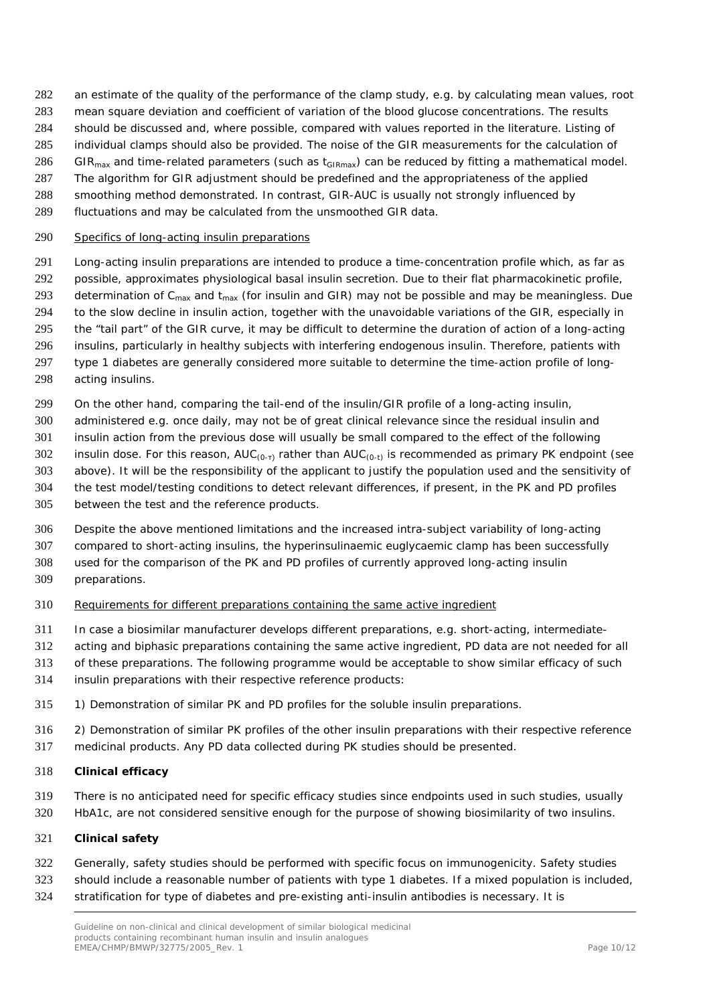- an estimate of the quality of the performance of the clamp study, e.g. by calculating mean values, root
- mean square deviation and coefficient of variation of the blood glucose concentrations. The results
- should be discussed and, where possible, compared with values reported in the literature. Listing of
- individual clamps should also be provided. The noise of the GIR measurements for the calculation of 286 GIR<sub>max</sub> and time-related parameters (such as  $t_{GIRmax}$ ) can be reduced by fitting a mathematical model.
- The algorithm for GIR adjustment should be predefined and the appropriateness of the applied
- smoothing method demonstrated. In contrast, GIR-AUC is usually not strongly influenced by
- fluctuations and may be calculated from the unsmoothed GIR data.

#### *Specifics of long-acting insulin preparations*

- Long-acting insulin preparations are intended to produce a time-concentration profile which, as far as possible, approximates physiological basal insulin secretion. Due to their flat pharmacokinetic profile, 293 determination of C<sub>max</sub> and t<sub>max</sub> (for insulin and GIR) may not be possible and may be meaningless. Due to the slow decline in insulin action, together with the unavoidable variations of the GIR, especially in the "tail part" of the GIR curve, it may be difficult to determine the duration of action of a long-acting insulins, particularly in healthy subjects with interfering endogenous insulin. Therefore, patients with type 1 diabetes are generally considered more suitable to determine the time-action profile of long-
- acting insulins.
- 299 On the other hand, comparing the tail-end of the insulin/GIR profile of a long-acting insulin,
- administered e.g. once daily, may not be of great clinical relevance since the residual insulin and
- insulin action from the previous dose will usually be small compared to the effect of the following
- 302 insulin dose. For this reason,  $AUC_{(0-1)}$  rather than  $AUC_{(0-1)}$  is recommended as primary PK endpoint (see
- above). It will be the responsibility of the applicant to justify the population used and the sensitivity of
- the test model/testing conditions to detect relevant differences, if present, in the PK and PD profiles
- between the test and the reference products.
- Despite the above mentioned limitations and the increased intra-subject variability of long-acting

compared to short-acting insulins, the hyperinsulinaemic euglycaemic clamp has been successfully

- used for the comparison of the PK and PD profiles of currently approved long-acting insulin
- preparations.
- *Requirements for different preparations containing the same active ingredient*
- In case a biosimilar manufacturer develops different preparations, e.g. short-acting, intermediate-
- acting and biphasic preparations containing the same active ingredient, PD data are not needed for all
- of these preparations. The following programme would be acceptable to show similar efficacy of such
- insulin preparations with their respective reference products:
- 1) Demonstration of similar PK and PD profiles for the soluble insulin preparations.
- 2) Demonstration of similar PK profiles of the other insulin preparations with their respective reference
- medicinal products. Any PD data collected during PK studies should be presented.

### **Clinical efficacy**

- There is no anticipated need for specific efficacy studies since endpoints used in such studies, usually
- HbA1c, are not considered sensitive enough for the purpose of showing biosimilarity of two insulins.

### **Clinical safety**

- Generally, safety studies should be performed with specific focus on immunogenicity. Safety studies
- should include a reasonable number of patients with type 1 diabetes. If a mixed population is included,
- stratification for type of diabetes and pre-existing anti-insulin antibodies is necessary. It is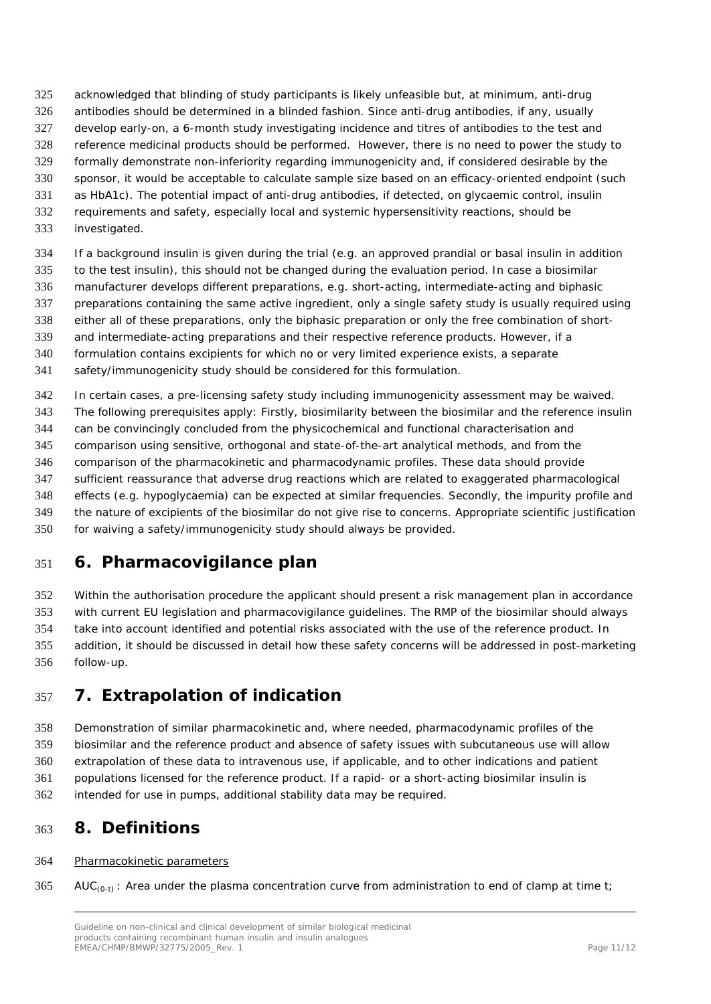- acknowledged that blinding of study participants is likely unfeasible but, at minimum, anti-drug
- antibodies should be determined in a blinded fashion. Since anti-drug antibodies, if any, usually
- develop early-on, a 6-month study investigating incidence and titres of antibodies to the test and
- reference medicinal products should be performed. However, there is no need to power the study to formally demonstrate non-inferiority regarding immunogenicity and, if considered desirable by the
- sponsor, it would be acceptable to calculate sample size based on an efficacy-oriented endpoint (such
- as HbA1c). The potential impact of anti-drug antibodies, if detected, on glycaemic control, insulin
- requirements and safety, especially local and systemic hypersensitivity reactions, should be
- investigated.
- If a background insulin is given during the trial (e.g. an approved prandial or basal insulin in addition
- to the test insulin), this should not be changed during the evaluation period. In case a biosimilar manufacturer develops different preparations, e.g. short-acting, intermediate-acting and biphasic
- preparations containing the same active ingredient, only a single safety study is usually required using
- either all of these preparations, only the biphasic preparation or only the free combination of short-
- and intermediate-acting preparations and their respective reference products. However, if a
- formulation contains excipients for which no or very limited experience exists, a separate
- safety/immunogenicity study should be considered for this formulation.
- In certain cases, a pre-licensing safety study including immunogenicity assessment may be waived.
- The following prerequisites apply: Firstly, biosimilarity between the biosimilar and the reference insulin
- can be convincingly concluded from the physicochemical and functional characterisation and
- comparison using sensitive, orthogonal and state-of-the-art analytical methods, and from the
- comparison of the pharmacokinetic and pharmacodynamic profiles. These data should provide
- sufficient reassurance that adverse drug reactions which are related to exaggerated pharmacological
- effects (e.g. hypoglycaemia) can be expected at similar frequencies. Secondly, the impurity profile and
- the nature of excipients of the biosimilar do not give rise to concerns. Appropriate scientific justification
- for waiving a safety/immunogenicity study should always be provided.

## <span id="page-10-0"></span>**6. Pharmacovigilance plan**

 Within the authorisation procedure the applicant should present a risk management plan in accordance with current EU legislation and pharmacovigilance guidelines. The RMP of the biosimilar should always take into account identified and potential risks associated with the use of the reference product. In addition, it should be discussed in detail how these safety concerns will be addressed in post-marketing follow-up.

# <span id="page-10-1"></span>**7. Extrapolation of indication**

Demonstration of similar pharmacokinetic and, where needed, pharmacodynamic profiles of the

- biosimilar and the reference product and absence of safety issues with subcutaneous use will allow
- extrapolation of these data to intravenous use, if applicable, and to other indications and patient
- populations licensed for the reference product. If a rapid- or a short-acting biosimilar insulin is
- intended for use in pumps, additional stability data may be required.

## <span id="page-10-2"></span>**8. Definitions**

### Pharmacokinetic parameters

365 AUC<sub>(0-t)</sub>: Area under the plasma concentration curve from administration to end of clamp at time t;